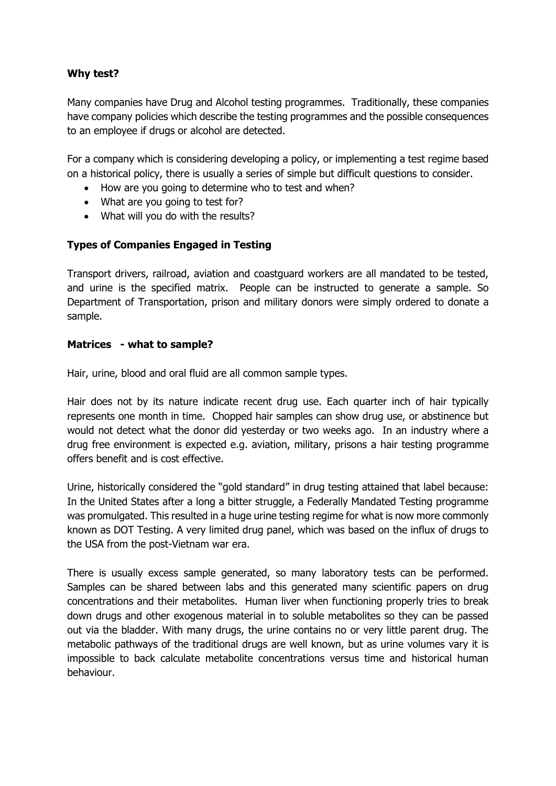## **Why test?**

Many companies have Drug and Alcohol testing programmes. Traditionally, these companies have company policies which describe the testing programmes and the possible consequences to an employee if drugs or alcohol are detected.

For a company which is considering developing a policy, or implementing a test regime based on a historical policy, there is usually a series of simple but difficult questions to consider.

- How are you going to determine who to test and when?
- What are you going to test for?
- What will you do with the results?

## **Types of Companies Engaged in Testing**

Transport drivers, railroad, aviation and coastguard workers are all mandated to be tested, and urine is the specified matrix. People can be instructed to generate a sample. So Department of Transportation, prison and military donors were simply ordered to donate a sample.

## **Matrices - what to sample?**

Hair, urine, blood and oral fluid are all common sample types.

Hair does not by its nature indicate recent drug use. Each quarter inch of hair typically represents one month in time. Chopped hair samples can show drug use, or abstinence but would not detect what the donor did yesterday or two weeks ago. In an industry where a drug free environment is expected e.g. aviation, military, prisons a hair testing programme offers benefit and is cost effective.

Urine, historically considered the "gold standard" in drug testing attained that label because: In the United States after a long a bitter struggle, a Federally Mandated Testing programme was promulgated. This resulted in a huge urine testing regime for what is now more commonly known as DOT Testing. A very limited drug panel, which was based on the influx of drugs to the USA from the post-Vietnam war era.

There is usually excess sample generated, so many laboratory tests can be performed. Samples can be shared between labs and this generated many scientific papers on drug concentrations and their metabolites. Human liver when functioning properly tries to break down drugs and other exogenous material in to soluble metabolites so they can be passed out via the bladder. With many drugs, the urine contains no or very little parent drug. The metabolic pathways of the traditional drugs are well known, but as urine volumes vary it is impossible to back calculate metabolite concentrations versus time and historical human behaviour.